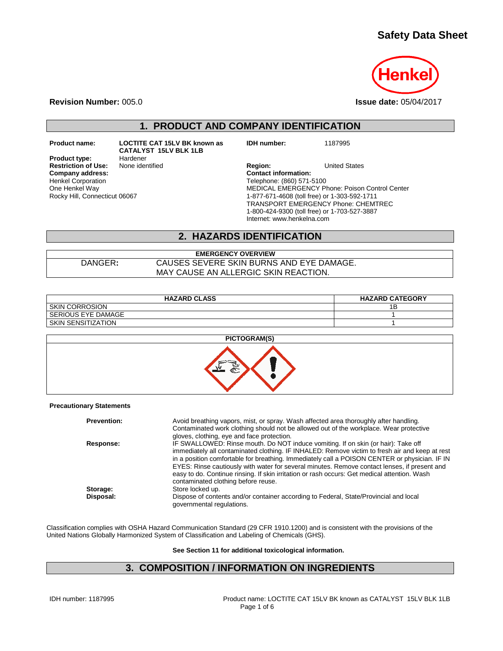# **Safety Data Sheet**



**Revision Number:** 005.0 **Issue date:** 05/04/2017

# **1. PRODUCT AND COMPANY IDENTIFICATION**

**Product type:** Hardener<br> **Restriction of Use:** None identified Henkel Corporation One Henkel Way Rocky Hill, Connecticut 06067

**Product name: LOCTITE CAT 15LV BK known as CATALYST 15LV BLK 1LB**

**IDH number:** 1187995

**Restriction of Use:** None identified **Region:** Region: United States Company address: **Region:** United States **Company address: Contact information:** Telephone: (860) 571-5100 MEDICAL EMERGENCY Phone: Poison Control Center 1-877-671-4608 (toll free) or 1-303-592-1711 TRANSPORT EMERGENCY Phone: CHEMTREC 1-800-424-9300 (toll free) or 1-703-527-3887 Internet: www.henkelna.com

## **2. HAZARDS IDENTIFICATION**

**EMERGENCY OVERVIEW** DANGER**:** CAUSES SEVERE SKIN BURNS AND EYE DAMAGE. MAY CAUSE AN ALLERGIC SKIN REACTION.

| <b>HAZARD CLASS</b>   | <b>HAZARD CATEGORY</b> |
|-----------------------|------------------------|
| <b>SKIN CORROSION</b> |                        |
| SERIOUS EYE DAMAGE    |                        |
| SKIN SENSITIZATION    |                        |



#### **Precautionary Statements**

| <b>Prevention:</b> | Avoid breathing vapors, mist, or spray. Wash affected area thoroughly after handling.<br>Contaminated work clothing should not be allowed out of the workplace. Wear protective<br>gloves, clothing, eye and face protection.                                                                                                                                                                                                                                                                                               |
|--------------------|-----------------------------------------------------------------------------------------------------------------------------------------------------------------------------------------------------------------------------------------------------------------------------------------------------------------------------------------------------------------------------------------------------------------------------------------------------------------------------------------------------------------------------|
| Response:          | IF SWALLOWED: Rinse mouth. Do NOT induce vomiting. If on skin (or hair): Take off<br>immediately all contaminated clothing. IF INHALED: Remove victim to fresh air and keep at rest<br>in a position comfortable for breathing. Immediately call a POISON CENTER or physician. IF IN<br>EYES: Rinse cautiously with water for several minutes. Remove contact lenses, if present and<br>easy to do. Continue rinsing. If skin irritation or rash occurs: Get medical attention. Wash<br>contaminated clothing before reuse. |
| Storage:           | Store locked up.                                                                                                                                                                                                                                                                                                                                                                                                                                                                                                            |
| Disposal:          | Dispose of contents and/or container according to Federal, State/Provincial and local<br>governmental regulations.                                                                                                                                                                                                                                                                                                                                                                                                          |

Classification complies with OSHA Hazard Communication Standard (29 CFR 1910.1200) and is consistent with the provisions of the United Nations Globally Harmonized System of Classification and Labeling of Chemicals (GHS).

**See Section 11 for additional toxicological information.**

## **3. COMPOSITION / INFORMATION ON INGREDIENTS**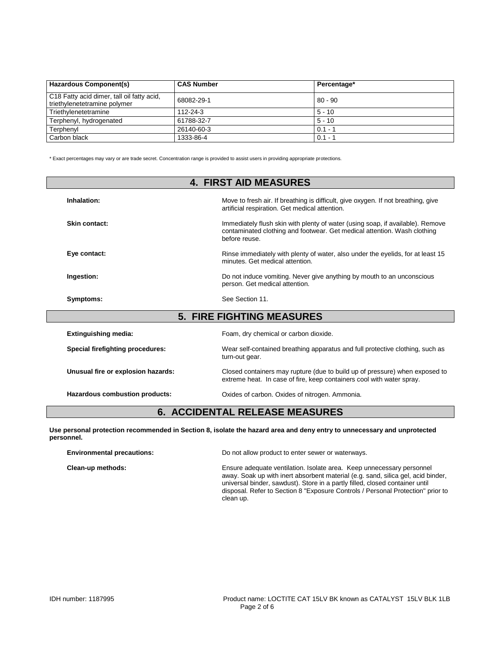| Hazardous Component(s)                                                     | <b>CAS Number</b> | Percentage* |
|----------------------------------------------------------------------------|-------------------|-------------|
| C18 Fatty acid dimer, tall oil fatty acid,<br>triethylenetetramine polymer | 68082-29-1        | $180 - 90$  |
| Triethylenetetramine                                                       | 112-24-3          | $5 - 10$    |
| Terphenyl, hydrogenated                                                    | 61788-32-7        | $5 - 10$    |
| Terphenyl                                                                  | 26140-60-3        | $0.1 - 1$   |
| Carbon black                                                               | 1333-86-4         | $0.1 - 1$   |

\* Exact percentages may vary or are trade secret. Concentration range is provided to assist users in providing appropriate protections.

| <b>4. FIRST AID MEASURES</b>     |                                                                                                                                                                             |  |
|----------------------------------|-----------------------------------------------------------------------------------------------------------------------------------------------------------------------------|--|
| Inhalation:                      | Move to fresh air. If breathing is difficult, give oxygen. If not breathing, give<br>artificial respiration. Get medical attention.                                         |  |
| Skin contact:                    | Immediately flush skin with plenty of water (using soap, if available). Remove<br>contaminated clothing and footwear. Get medical attention. Wash clothing<br>before reuse. |  |
| Eye contact:                     | Rinse immediately with plenty of water, also under the eyelids, for at least 15<br>minutes. Get medical attention.                                                          |  |
| Ingestion:                       | Do not induce vomiting. Never give anything by mouth to an unconscious<br>person. Get medical attention.                                                                    |  |
| Symptoms:                        | See Section 11.                                                                                                                                                             |  |
| <b>5. FIRE FIGHTING MEASURES</b> |                                                                                                                                                                             |  |
| <b>Extinguishing media:</b>      | Foam, dry chemical or carbon dioxide.                                                                                                                                       |  |
| Special firefighting procedures: | Wear self-contained breathing apparatus and full protective clothing, such as                                                                                               |  |

|                                    | turn-out gear.                                                                                                                                       |  |  |
|------------------------------------|------------------------------------------------------------------------------------------------------------------------------------------------------|--|--|
| Unusual fire or explosion hazards: | Closed containers may rupture (due to build up of pressure) when exposed to<br>extreme heat. In case of fire, keep containers cool with water spray. |  |  |
| Hazardous combustion products:     | Oxides of carbon. Oxides of nitrogen. Ammonia.                                                                                                       |  |  |

# **6. ACCIDENTAL RELEASE MEASURES**

**Use personal protection recommended in Section 8, isolate the hazard area and deny entry to unnecessary and unprotected personnel.**

| <b>Environmental precautions:</b> | Do not allow product to enter sewer or waterways.                                                                                                                                                                                                                                                                                         |  |
|-----------------------------------|-------------------------------------------------------------------------------------------------------------------------------------------------------------------------------------------------------------------------------------------------------------------------------------------------------------------------------------------|--|
| Clean-up methods:                 | Ensure adequate ventilation. Isolate area. Keep unnecessary personnel<br>away. Soak up with inert absorbent material (e.g. sand, silica gel, acid binder,<br>universal binder, sawdust). Store in a partly filled, closed container until<br>disposal. Refer to Section 8 "Exposure Controls / Personal Protection" prior to<br>clean up. |  |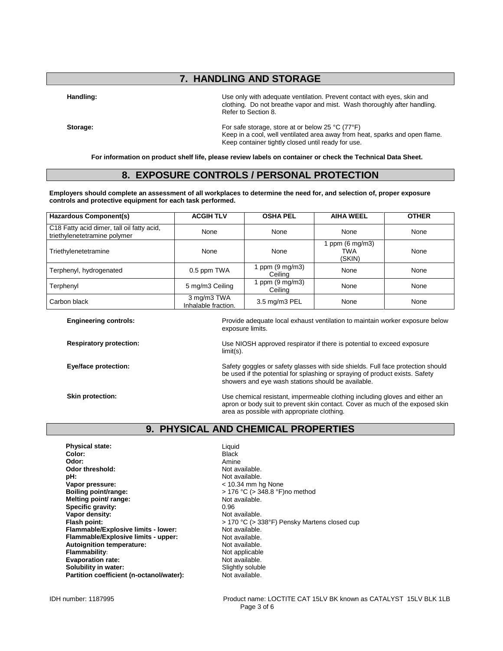# **7. HANDLING AND STORAGE**

**Handling:** Use only with adequate ventilation. Prevent contact with eyes, skin and clothing. Do not breathe vapor and mist. Wash thoroughly after handling. Refer to Section 8.

**Storage:** For safe storage, store at or below 25 °C (77°F) Keep in a cool, well ventilated area away from heat, sparks and open flame. Keep container tightly closed until ready for use.

**For information on product shelf life, please review labels on container or check the Technical Data Sheet.**

## **8. EXPOSURE CONTROLS / PERSONAL PROTECTION**

**Employers should complete an assessment of all workplaces to determine the need for, and selection of, proper exposure controls and protective equipment for each task performed.**

| <b>Hazardous Component(s)</b>                                              | <b>ACGIH TLV</b>                   | <b>OSHA PEL</b>                    | <b>AIHA WEEL</b>                         | <b>OTHER</b> |
|----------------------------------------------------------------------------|------------------------------------|------------------------------------|------------------------------------------|--------------|
| C18 Fatty acid dimer, tall oil fatty acid,<br>triethylenetetramine polymer | None                               | None                               | None                                     | None         |
| Triethylenetetramine                                                       | None                               | None                               | ppm $(6 \text{ mg/m3})$<br>TWA<br>(SKIN) | None         |
| Terphenyl, hydrogenated                                                    | 0.5 ppm TWA                        | ppm $(9 \text{ mg/m3})$<br>Ceiling | None                                     | None         |
| Terphenyl                                                                  | 5 mg/m3 Ceiling                    | 1 ppm (9 mg/m3)<br>Ceiling         | None                                     | None         |
| Carbon black                                                               | 3 mg/m3 TWA<br>Inhalable fraction. | 3.5 mg/m3 PEL                      | None                                     | None         |

| <b>Engineering controls:</b>   | Provide adequate local exhaust ventilation to maintain worker exposure below<br>exposure limits.                                                                                                                      |
|--------------------------------|-----------------------------------------------------------------------------------------------------------------------------------------------------------------------------------------------------------------------|
| <b>Respiratory protection:</b> | Use NIOSH approved respirator if there is potential to exceed exposure<br>$limit(s)$ .                                                                                                                                |
| Eye/face protection:           | Safety goggles or safety glasses with side shields. Full face protection should<br>be used if the potential for splashing or spraying of product exists. Safety<br>showers and eye wash stations should be available. |
| Skin protection:               | Use chemical resistant, impermeable clothing including gloves and either an<br>apron or body suit to prevent skin contact. Cover as much of the exposed skin<br>area as possible with appropriate clothing.           |

## **9. PHYSICAL AND CHEMICAL PROPERTIES**

Not applicable<br>Not available.

**boiling boiling boiling boiling points 176 °C (> 348.8 °F)no method Not available.** 

**Flash point:** > 170 °C (> 338°F) Pensky Martens closed cup

**Physical state:** Liquid **Color:** Liquid Color: Liquid Color: **Color:** Black **Odor:** Amine **Odor threshold:** Not available. **pH:**  $\blacksquare$  Not available.<br> **Vapor pressure:**  $\blacksquare$  A  $\blacksquare$  A  $\blacksquare$  A  $\blacksquare$  A  $\blacksquare$  A  $\blacksquare$  A  $\blacksquare$  A  $\blacksquare$  A  $\blacksquare$  A  $\blacksquare$  A  $\blacksquare$  A  $\blacksquare$  A  $\blacksquare$  A  $\blacksquare$  A  $\blacksquare$  A  $\blacksquare$  A  $\blacksquare$  A  $\blacksquare$  A  $\blacksquare$  A  $\blacks$ **Vapor pressure:**<br> **Boiling point/range:**<br> **Boiling point/range:**<br> **C** (> 348.8 °F) **Melting point/ range: Specific gravity:** 0.96<br> **Vapor density:**  $\qquad$  Not available. Vapor density:<br>Flash point: **Flammable/Explosive limits - lower:** Not available.<br> **Flammable/Explosive limits - upper:** Not available **Flammable/Explosive limits - upper:** Not available.<br> **Autoignition temperature:** Not available. **Autoignition temperature:**<br>Flammability: **Evaporation rate:**<br> **Solubility in water:** Not available.<br>
Slightly soluble **Solubility in water:** Slightly soluble Support Support Support Support Support Support Partition coefficient (n-octanol/water): **Partition coefficient (n-octanol/water):**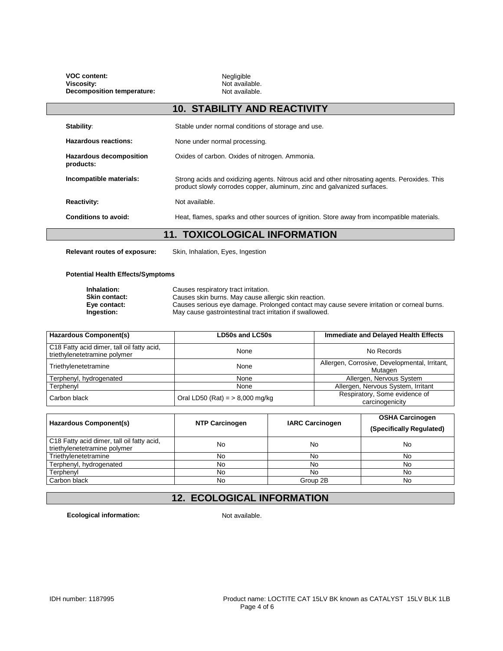**VOC content:**<br>Viscosity: **Decomposition temperature:**  Negligible<br>Not available.<br>Not available.

# **10. STABILITY AND REACTIVITY**

| Stability:                                  | Stable under normal conditions of storage and use.                                                                                                                       |
|---------------------------------------------|--------------------------------------------------------------------------------------------------------------------------------------------------------------------------|
| Hazardous reactions:                        | None under normal processing.                                                                                                                                            |
| <b>Hazardous decomposition</b><br>products: | Oxides of carbon. Oxides of nitrogen. Ammonia.                                                                                                                           |
| Incompatible materials:                     | Strong acids and oxidizing agents. Nitrous acid and other nitrosating agents. Peroxides. This<br>product slowly corrodes copper, aluminum, zinc and galvanized surfaces. |
| <b>Reactivity:</b>                          | Not available.                                                                                                                                                           |
| Conditions to avoid:                        | Heat, flames, sparks and other sources of ignition. Store away from incompatible materials.                                                                              |

# **11. TOXICOLOGICAL INFORMATION**

**Relevant routes of exposure:** Skin, Inhalation, Eyes, Ingestion

#### **Potential Health Effects/Symptoms**

| Inhalation:          | Causes respiratory tract irritation.                                                       |
|----------------------|--------------------------------------------------------------------------------------------|
| <b>Skin contact:</b> | Causes skin burns. May cause allergic skin reaction.                                       |
| Eve contact:         | Causes serious eye damage. Prolonged contact may cause severe irritation or corneal burns. |
| Ingestion:           | May cause gastrointestinal tract irritation if swallowed.                                  |

| <b>Hazardous Component(s)</b>                                              | <b>LD50s and LC50s</b>                     | <b>Immediate and Delayed Health Effects</b>              |  |
|----------------------------------------------------------------------------|--------------------------------------------|----------------------------------------------------------|--|
| C18 Fatty acid dimer, tall oil fatty acid,<br>triethylenetetramine polymer | No Records<br>None                         |                                                          |  |
| Triethylenetetramine                                                       | None                                       | Allergen, Corrosive, Developmental, Irritant,<br>Mutagen |  |
| Terphenyl, hydrogenated                                                    | None                                       | Allergen, Nervous System                                 |  |
| Terphenvl                                                                  | Allergen, Nervous System, Irritant<br>None |                                                          |  |
| Carbon black                                                               | Oral LD50 (Rat) = $> 8,000$ mg/kg          | Respiratory, Some evidence of<br>carcinogenicity         |  |

| Hazardous Component(s)                                                     | <b>NTP Carcinogen</b> | <b>IARC Carcinogen</b> | <b>OSHA Carcinogen</b><br>(Specifically Regulated) |
|----------------------------------------------------------------------------|-----------------------|------------------------|----------------------------------------------------|
| C18 Fatty acid dimer, tall oil fatty acid,<br>triethylenetetramine polymer | No                    | No                     | No                                                 |
| Triethylenetetramine                                                       | No                    | No                     | No.                                                |
| Terphenyl, hydrogenated                                                    | No                    | No                     | No                                                 |
| Terphenyl                                                                  | No                    | No                     | No.                                                |
| Carbon black                                                               | No.                   | Group 2B               | No.                                                |

# **12. ECOLOGICAL INFORMATION**

**Ecological information:** Not available.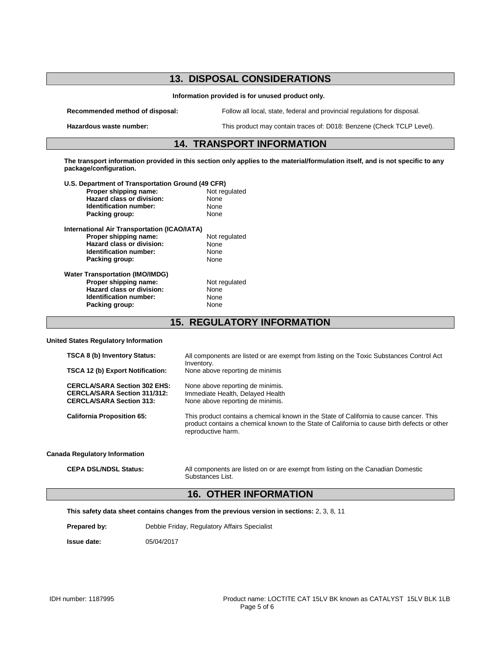# **13. DISPOSAL CONSIDERATIONS**

#### **Information provided is for unused product only.**

**Recommended method of disposal:** Follow all local, state, federal and provincial regulations for disposal.

**Hazardous waste number:** This product may contain traces of: D018: Benzene (Check TCLP Level).

### **14. TRANSPORT INFORMATION**

**The transport information provided in this section only applies to the material/formulation itself, and is not specific to any package/configuration.**

| U.S. Department of Transportation Ground (49 CFR) |               |  |
|---------------------------------------------------|---------------|--|
| Proper shipping name:                             | Not regulated |  |
| Hazard class or division:                         | None          |  |
| Identification number:                            | None          |  |
| Packing group:                                    | None          |  |
| International Air Transportation (ICAO/IATA)      |               |  |
| Proper shipping name:                             | Not regulated |  |
| Hazard class or division:                         | None          |  |
| Identification number:                            | None          |  |
| Packing group:                                    | None          |  |
| <b>Water Transportation (IMO/IMDG)</b>            |               |  |
| Proper shipping name:                             | Not regulated |  |
| Hazard class or division:                         | None          |  |
| Identification number:                            | None          |  |
| Packing group:                                    | None          |  |
|                                                   |               |  |

**15. REGULATORY INFORMATION**

#### **United States Regulatory Information**

| <b>TSCA 8 (b) Inventory Status:</b>                                                                           | All components are listed or are exempt from listing on the Toxic Substances Control Act<br>Inventory.                                                                                                        |
|---------------------------------------------------------------------------------------------------------------|---------------------------------------------------------------------------------------------------------------------------------------------------------------------------------------------------------------|
| <b>TSCA 12 (b) Export Notification:</b>                                                                       | None above reporting de minimis                                                                                                                                                                               |
| <b>CERCLA/SARA Section 302 EHS:</b><br><b>CERCLA/SARA Section 311/312:</b><br><b>CERCLA/SARA Section 313:</b> | None above reporting de minimis.<br>Immediate Health, Delayed Health<br>None above reporting de minimis.                                                                                                      |
| <b>California Proposition 65:</b>                                                                             | This product contains a chemical known in the State of California to cause cancer. This<br>product contains a chemical known to the State of California to cause birth defects or other<br>reproductive harm. |
| <b>Canada Regulatory Information</b>                                                                          |                                                                                                                                                                                                               |

**CEPA DSL/NDSL Status:** All components are listed on or are exempt from listing on the Canadian Domestic Substances List.

### **16. OTHER INFORMATION**

**This safety data sheet contains changes from the previous version in sections:** 2, 3, 8, 11

| Prepared by:<br>Debbie Friday, Regulatory Affairs Specialist |  |
|--------------------------------------------------------------|--|
|--------------------------------------------------------------|--|

**Issue date:** 05/04/2017